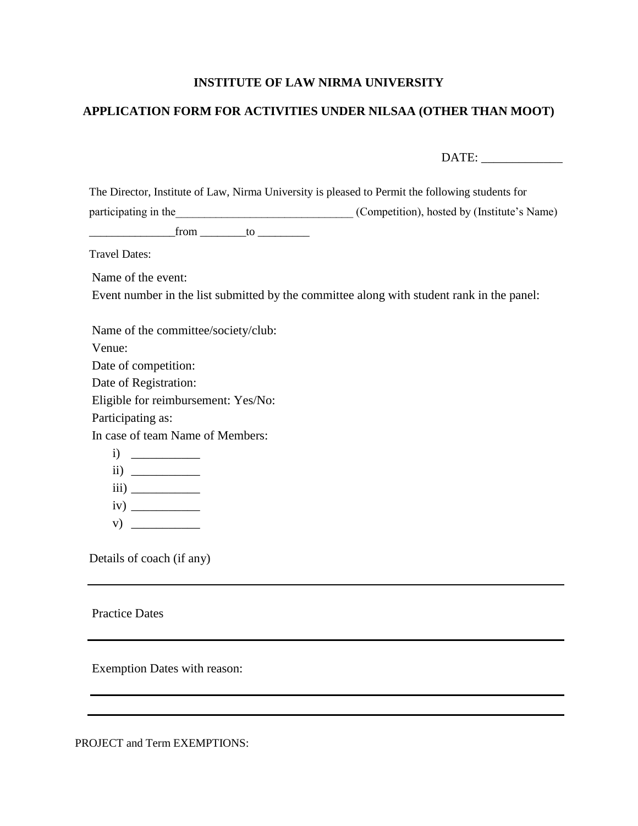## **INSTITUTE OF LAW NIRMA UNIVERSITY**

## **APPLICATION FORM FOR ACTIVITIES UNDER NILSAA (OTHER THAN MOOT)**

DATE: \_\_\_\_\_\_\_\_\_\_\_\_\_

| The Director, Institute of Law, Nirma University is pleased to Permit the following students for                                                                                                                                       |                                             |  |  |  |
|----------------------------------------------------------------------------------------------------------------------------------------------------------------------------------------------------------------------------------------|---------------------------------------------|--|--|--|
| participating in the                                                                                                                                                                                                                   | (Competition), hosted by (Institute's Name) |  |  |  |
| from<br>to to the contract of the contract of the contract of the contract of the contract of the contract of the contract of the contract of the contract of the contract of the contract of the contract of the contract of the cont |                                             |  |  |  |
| Travel Dates:                                                                                                                                                                                                                          |                                             |  |  |  |
| Name of the event:                                                                                                                                                                                                                     |                                             |  |  |  |
| Event number in the list submitted by the committee along with student rank in the panel:                                                                                                                                              |                                             |  |  |  |

Name of the committee/society/club: Venue: Date of competition: Date of Registration: Eligible for reimbursement: Yes/No: Participating as: In case of team Name of Members:  $i)$  $ii)$ iii) \_\_\_\_\_\_\_\_\_\_\_ iv) \_\_\_\_\_\_\_\_\_\_\_ v)  $\overline{\qquad \qquad }$ 

Details of coach (if any)

Practice Dates

Exemption Dates with reason:

PROJECT and Term EXEMPTIONS: